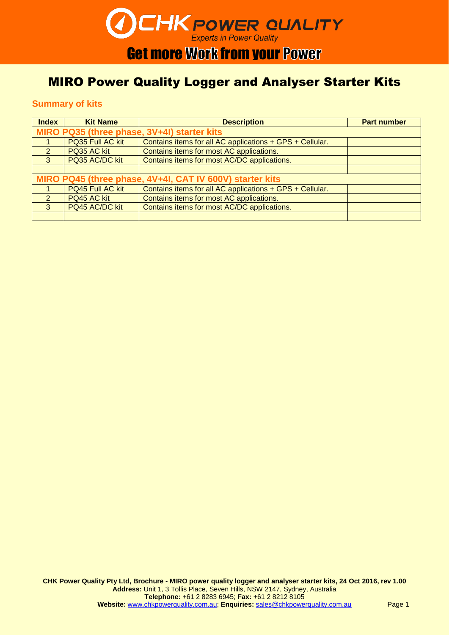# **CHK POWER QUALITY**

# **Get more Work from your Power**

### MIRO Power Quality Logger and Analyser Starter Kits

### **Summary of kits**

| <b>Index</b>                                             | <b>Kit Name</b>  | <b>Description</b>                                       | <b>Part number</b> |
|----------------------------------------------------------|------------------|----------------------------------------------------------|--------------------|
| MIRO PQ35 (three phase, 3V+4I) starter kits              |                  |                                                          |                    |
|                                                          | PQ35 Full AC kit | Contains items for all AC applications + GPS + Cellular. |                    |
| 2                                                        | PQ35 AC kit      | Contains items for most AC applications.                 |                    |
| 3                                                        | PQ35 AC/DC kit   | Contains items for most AC/DC applications.              |                    |
|                                                          |                  |                                                          |                    |
| MIRO PQ45 (three phase, 4V+4I, CAT IV 600V) starter kits |                  |                                                          |                    |
|                                                          | PQ45 Full AC kit | Contains items for all AC applications + GPS + Cellular. |                    |
| 2                                                        | PQ45 AC kit      | Contains items for most AC applications.                 |                    |
| $\mathbf{3}$                                             | PQ45 AC/DC kit   | Contains items for most AC/DC applications.              |                    |
|                                                          |                  |                                                          |                    |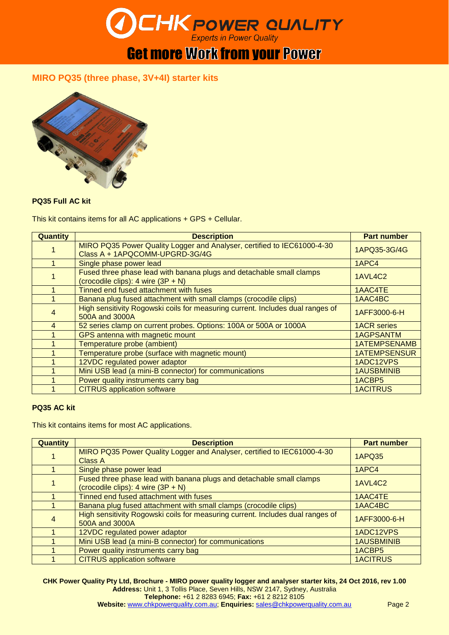

### **MIRO PQ35 (three phase, 3V+4I) starter kits**



### **PQ35 Full AC kit**

This kit contains items for all AC applications + GPS + Cellular.

| <b>Quantity</b> | <b>Description</b>                                                                                           | <b>Part number</b>  |
|-----------------|--------------------------------------------------------------------------------------------------------------|---------------------|
|                 | MIRO PQ35 Power Quality Logger and Analyser, certified to IEC61000-4-30<br>Class A + 1APQCOMM-UPGRD-3G/4G    | 1APQ35-3G/4G        |
|                 | Single phase power lead                                                                                      | 1APC4               |
|                 | Fused three phase lead with banana plugs and detachable small clamps<br>(crocodile clips): 4 wire $(3P + N)$ | 1AVL4C2             |
|                 | Tinned end fused attachment with fuses                                                                       | 1AAC4TE             |
|                 | Banana plug fused attachment with small clamps (crocodile clips)                                             | 1AAC4BC             |
| 4               | High sensitivity Rogowski coils for measuring current. Includes dual ranges of<br>500A and 3000A             | 1AFF3000-6-H        |
| $\overline{4}$  | 52 series clamp on current probes. Options: 100A or 500A or 1000A                                            | <b>1ACR</b> series  |
|                 | GPS antenna with magnetic mount                                                                              | <b>1AGPSANTM</b>    |
|                 | Temperature probe (ambient)                                                                                  | <b>1ATEMPSENAMB</b> |
|                 | Temperature probe (surface with magnetic mount)                                                              | <b>1ATEMPSENSUR</b> |
|                 | 12VDC regulated power adaptor                                                                                | 1ADC12VPS           |
|                 | Mini USB lead (a mini-B connector) for communications                                                        | <b>1AUSBMINIB</b>   |
|                 | Power quality instruments carry bag                                                                          | 1ACBP5              |
|                 | <b>CITRUS</b> application software                                                                           | <b>1ACITRUS</b>     |

### **PQ35 AC kit**

This kit contains items for most AC applications.

| <b>Quantity</b> | <b>Description</b>                                                                                             | <b>Part number</b> |
|-----------------|----------------------------------------------------------------------------------------------------------------|--------------------|
|                 | MIRO PQ35 Power Quality Logger and Analyser, certified to IEC61000-4-30<br>Class A                             | <b>1APQ35</b>      |
|                 | Single phase power lead                                                                                        | 1APC4              |
|                 | Fused three phase lead with banana plugs and detachable small clamps<br>(crocodile clips): $4$ wire $(3P + N)$ | 1AVL4C2            |
|                 | Tinned end fused attachment with fuses                                                                         | 1AAC4TE            |
|                 | Banana plug fused attachment with small clamps (crocodile clips)                                               | 1AAC4BC            |
| 4               | High sensitivity Rogowski coils for measuring current. Includes dual ranges of<br>500A and 3000A               | 1AFF3000-6-H       |
|                 | 12VDC regulated power adaptor                                                                                  | 1ADC12VPS          |
|                 | Mini USB lead (a mini-B connector) for communications                                                          | <b>1AUSBMINIB</b>  |
|                 | Power quality instruments carry bag                                                                            | 1ACBP5             |
|                 | <b>CITRUS</b> application software                                                                             | <b>1ACITRUS</b>    |

**CHK Power Quality Pty Ltd, Brochure - MIRO power quality logger and analyser starter kits, 24 Oct 2016, rev 1.00 Address:** Unit 1, 3 Tollis Place, Seven Hills, NSW 2147, Sydney, Australia **Telephone:** +61 2 8283 6945; **Fax:** +61 2 8212 8105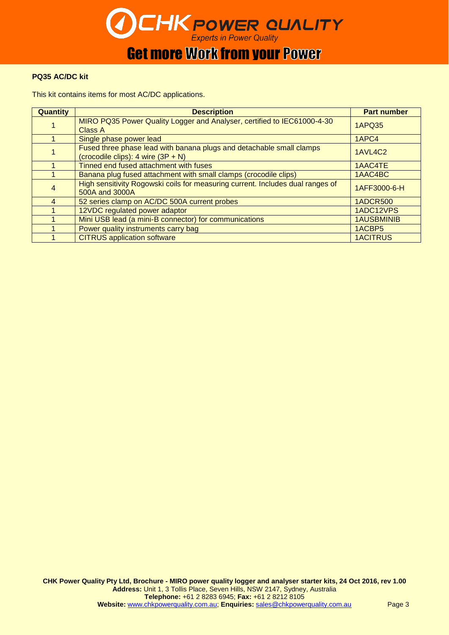

### **PQ35 AC/DC kit**

This kit contains items for most AC/DC applications.

| <b>Quantity</b> | <b>Description</b>                                                                                           | <b>Part number</b> |
|-----------------|--------------------------------------------------------------------------------------------------------------|--------------------|
|                 | MIRO PQ35 Power Quality Logger and Analyser, certified to IEC61000-4-30<br><b>Class A</b>                    | <b>1APQ35</b>      |
|                 | Single phase power lead                                                                                      | 1APC4              |
|                 | Fused three phase lead with banana plugs and detachable small clamps<br>(crocodile clips): 4 wire $(3P + N)$ | 1AVL4C2            |
|                 | Tinned end fused attachment with fuses                                                                       | 1AAC4TE            |
|                 | Banana plug fused attachment with small clamps (crocodile clips)                                             | 1AAC4BC            |
| 4               | High sensitivity Rogowski coils for measuring current. Includes dual ranges of<br>500A and 3000A             | 1AFF3000-6-H       |
| 4               | 52 series clamp on AC/DC 500A current probes                                                                 | <b>1ADCR500</b>    |
|                 | 12VDC regulated power adaptor                                                                                | 1ADC12VPS          |
|                 | Mini USB lead (a mini-B connector) for communications                                                        | <b>1AUSBMINIB</b>  |
|                 | Power quality instruments carry bag                                                                          | 1ACBP5             |
|                 | <b>CITRUS</b> application software                                                                           | <b>1ACITRUS</b>    |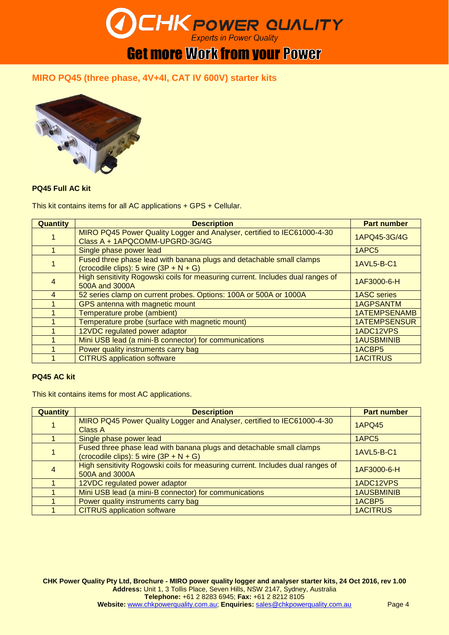

### **MIRO PQ45 (three phase, 4V+4I, CAT IV 600V) starter kits**



### **PQ45 Full AC kit**

This kit contains items for all AC applications + GPS + Cellular.

| <b>Quantity</b> | <b>Description</b>                                                                                               | <b>Part number</b>  |
|-----------------|------------------------------------------------------------------------------------------------------------------|---------------------|
|                 | MIRO PQ45 Power Quality Logger and Analyser, certified to IEC61000-4-30<br>Class A + 1APQCOMM-UPGRD-3G/4G        | 1APQ45-3G/4G        |
|                 | Single phase power lead                                                                                          | 1APC <sub>5</sub>   |
|                 | Fused three phase lead with banana plugs and detachable small clamps<br>(crocodile clips): 5 wire $(3P + N + G)$ | 1AVL5-B-C1          |
| 4               | High sensitivity Rogowski coils for measuring current. Includes dual ranges of<br>500A and 3000A                 | 1AF3000-6-H         |
| 4               | 52 series clamp on current probes. Options: 100A or 500A or 1000A                                                | <b>1ASC</b> series  |
|                 | GPS antenna with magnetic mount                                                                                  | <b>1AGPSANTM</b>    |
|                 | Temperature probe (ambient)                                                                                      | <b>1ATEMPSENAMB</b> |
|                 | Temperature probe (surface with magnetic mount)                                                                  | <b>1ATEMPSENSUR</b> |
|                 | 12VDC regulated power adaptor                                                                                    | 1ADC12VPS           |
|                 | Mini USB lead (a mini-B connector) for communications                                                            | <b>1AUSBMINIB</b>   |
|                 | Power quality instruments carry bag                                                                              | 1ACBP5              |
|                 | <b>CITRUS</b> application software                                                                               | <b>1ACITRUS</b>     |

### **PQ45 AC kit**

This kit contains items for most AC applications.

| <b>Quantity</b> | <b>Description</b>                                                                                               | <b>Part number</b> |
|-----------------|------------------------------------------------------------------------------------------------------------------|--------------------|
|                 | MIRO PQ45 Power Quality Logger and Analyser, certified to IEC61000-4-30<br><b>Class A</b>                        | <b>1APQ45</b>      |
|                 | Single phase power lead                                                                                          | 1APC <sub>5</sub>  |
|                 | Fused three phase lead with banana plugs and detachable small clamps<br>(crocodile clips): 5 wire $(3P + N + G)$ | 1AVL5-B-C1         |
| $\overline{4}$  | High sensitivity Rogowski coils for measuring current. Includes dual ranges of<br>500A and 3000A                 | 1AF3000-6-H        |
|                 | 12VDC regulated power adaptor                                                                                    | 1ADC12VPS          |
|                 | Mini USB lead (a mini-B connector) for communications                                                            | <b>1AUSBMINIB</b>  |
|                 | Power quality instruments carry bag                                                                              | 1ACBP5             |
|                 | <b>CITRUS</b> application software                                                                               | <b>1ACITRUS</b>    |